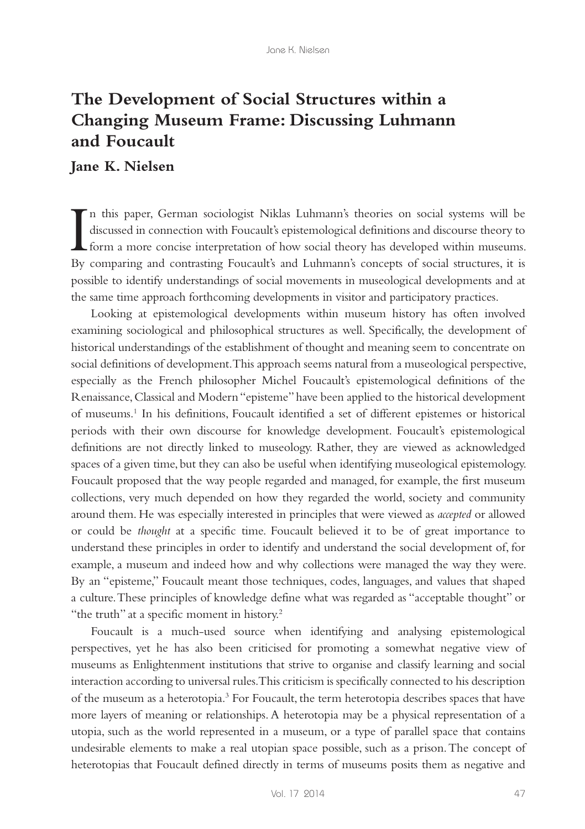## **The Development of Social Structures within a Changing Museum Frame: Discussing Luhmann and Foucault**

## **Jane K. Nielsen**

In this paper, German sociologist Niklas Luhmann's theories on social systems will be discussed in connection with Foucault's epistemological definitions and discourse theory to form a more concise interpretation of how so n this paper, German sociologist Niklas Luhmann's theories on social systems will be discussed in connection with Foucault's epistemological definitions and discourse theory to By comparing and contrasting Foucault's and Luhmann's concepts of social structures, it is possible to identify understandings of social movements in museological developments and at the same time approach forthcoming developments in visitor and participatory practices.

Looking at epistemological developments within museum history has often involved examining sociological and philosophical structures as well. Specifically, the development of historical understandings of the establishment of thought and meaning seem to concentrate on social definitions of development. This approach seems natural from a museological perspective, especially as the French philosopher Michel Foucault's epistemological definitions of the Renaissance, Classical and Modern "episteme" have been applied to the historical development of museums.1 In his definitions, Foucault identified a set of different epistemes or historical periods with their own discourse for knowledge development. Foucault's epistemological definitions are not directly linked to museology. Rather, they are viewed as acknowledged spaces of a given time, but they can also be useful when identifying museological epistemology. Foucault proposed that the way people regarded and managed, for example, the first museum collections, very much depended on how they regarded the world, society and community around them. He was especially interested in principles that were viewed as *accepted* or allowed or could be *thought* at a specific time. Foucault believed it to be of great importance to understand these principles in order to identify and understand the social development of, for example, a museum and indeed how and why collections were managed the way they were. By an "episteme," Foucault meant those techniques, codes, languages, and values that shaped a culture. These principles of knowledge define what was regarded as "acceptable thought" or "the truth" at a specific moment in history.<sup>2</sup>

Foucault is a much-used source when identifying and analysing epistemological perspectives, yet he has also been criticised for promoting a somewhat negative view of museums as Enlightenment institutions that strive to organise and classify learning and social interaction according to universal rules. This criticism is specifically connected to his description of the museum as a heterotopia.<sup>3</sup> For Foucault, the term heterotopia describes spaces that have more layers of meaning or relationships. A heterotopia may be a physical representation of a utopia, such as the world represented in a museum, or a type of parallel space that contains undesirable elements to make a real utopian space possible, such as a prison. The concept of heterotopias that Foucault defined directly in terms of museums posits them as negative and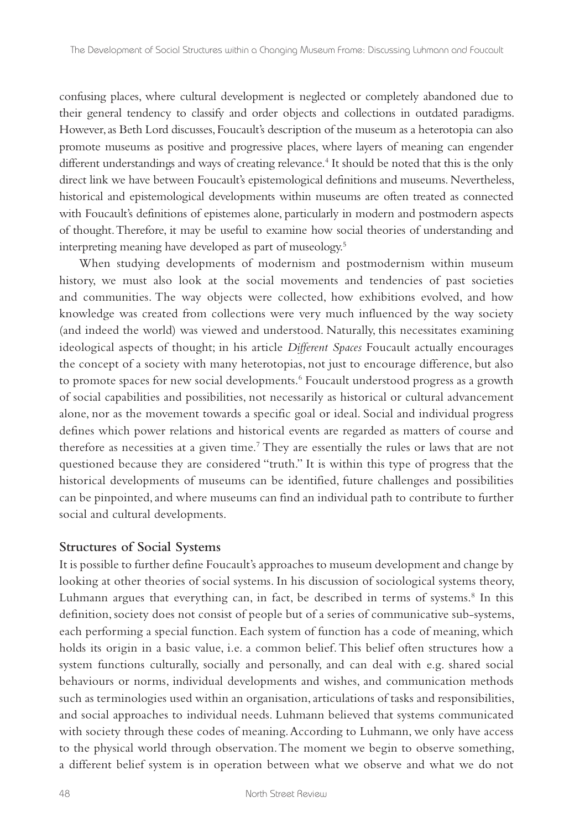confusing places, where cultural development is neglected or completely abandoned due to their general tendency to classify and order objects and collections in outdated paradigms. However, as Beth Lord discusses, Foucault's description of the museum as a heterotopia can also promote museums as positive and progressive places, where layers of meaning can engender different understandings and ways of creating relevance.<sup>4</sup> It should be noted that this is the only direct link we have between Foucault's epistemological definitions and museums. Nevertheless, historical and epistemological developments within museums are often treated as connected with Foucault's definitions of epistemes alone, particularly in modern and postmodern aspects of thought. Therefore, it may be useful to examine how social theories of understanding and interpreting meaning have developed as part of museology.5

When studying developments of modernism and postmodernism within museum history, we must also look at the social movements and tendencies of past societies and communities. The way objects were collected, how exhibitions evolved, and how knowledge was created from collections were very much influenced by the way society (and indeed the world) was viewed and understood. Naturally, this necessitates examining ideological aspects of thought; in his article *Different Spaces* Foucault actually encourages the concept of a society with many heterotopias, not just to encourage difference, but also to promote spaces for new social developments.<sup>6</sup> Foucault understood progress as a growth of social capabilities and possibilities, not necessarily as historical or cultural advancement alone, nor as the movement towards a specific goal or ideal. Social and individual progress defines which power relations and historical events are regarded as matters of course and therefore as necessities at a given time.<sup>7</sup> They are essentially the rules or laws that are not questioned because they are considered "truth." It is within this type of progress that the historical developments of museums can be identified, future challenges and possibilities can be pinpointed, and where museums can find an individual path to contribute to further social and cultural developments.

## **Structures of Social Systems**

It is possible to further define Foucault's approaches to museum development and change by looking at other theories of social systems. In his discussion of sociological systems theory, Luhmann argues that everything can, in fact, be described in terms of systems.<sup>8</sup> In this definition, society does not consist of people but of a series of communicative sub-systems, each performing a special function. Each system of function has a code of meaning, which holds its origin in a basic value, i.e. a common belief. This belief often structures how a system functions culturally, socially and personally, and can deal with e.g. shared social behaviours or norms, individual developments and wishes, and communication methods such as terminologies used within an organisation, articulations of tasks and responsibilities, and social approaches to individual needs. Luhmann believed that systems communicated with society through these codes of meaning. According to Luhmann, we only have access to the physical world through observation. The moment we begin to observe something, a different belief system is in operation between what we observe and what we do not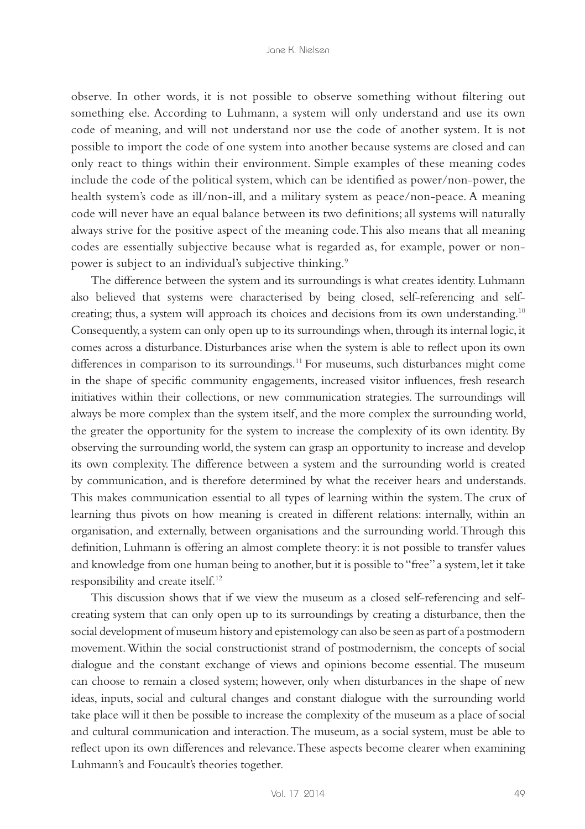observe. In other words, it is not possible to observe something without filtering out something else. According to Luhmann, a system will only understand and use its own code of meaning, and will not understand nor use the code of another system. It is not possible to import the code of one system into another because systems are closed and can only react to things within their environment. Simple examples of these meaning codes include the code of the political system, which can be identified as power/non-power, the health system's code as ill/non-ill, and a military system as peace/non-peace. A meaning code will never have an equal balance between its two definitions; all systems will naturally always strive for the positive aspect of the meaning code. This also means that all meaning codes are essentially subjective because what is regarded as, for example, power or nonpower is subject to an individual's subjective thinking.<sup>9</sup>

The difference between the system and its surroundings is what creates identity. Luhmann also believed that systems were characterised by being closed, self-referencing and selfcreating; thus, a system will approach its choices and decisions from its own understanding.<sup>10</sup> Consequently, a system can only open up to its surroundings when, through its internal logic, it comes across a disturbance. Disturbances arise when the system is able to reflect upon its own differences in comparison to its surroundings.11 For museums, such disturbances might come in the shape of specific community engagements, increased visitor influences, fresh research initiatives within their collections, or new communication strategies. The surroundings will always be more complex than the system itself, and the more complex the surrounding world, the greater the opportunity for the system to increase the complexity of its own identity. By observing the surrounding world, the system can grasp an opportunity to increase and develop its own complexity. The difference between a system and the surrounding world is created by communication, and is therefore determined by what the receiver hears and understands. This makes communication essential to all types of learning within the system. The crux of learning thus pivots on how meaning is created in different relations: internally, within an organisation, and externally, between organisations and the surrounding world. Through this definition, Luhmann is offering an almost complete theory: it is not possible to transfer values and knowledge from one human being to another, but it is possible to "free" a system, let it take responsibility and create itself.12

This discussion shows that if we view the museum as a closed self-referencing and selfcreating system that can only open up to its surroundings by creating a disturbance, then the social development of museum history and epistemology can also be seen as part of a postmodern movement. Within the social constructionist strand of postmodernism, the concepts of social dialogue and the constant exchange of views and opinions become essential. The museum can choose to remain a closed system; however, only when disturbances in the shape of new ideas, inputs, social and cultural changes and constant dialogue with the surrounding world take place will it then be possible to increase the complexity of the museum as a place of social and cultural communication and interaction. The museum, as a social system, must be able to reflect upon its own differences and relevance. These aspects become clearer when examining Luhmann's and Foucault's theories together.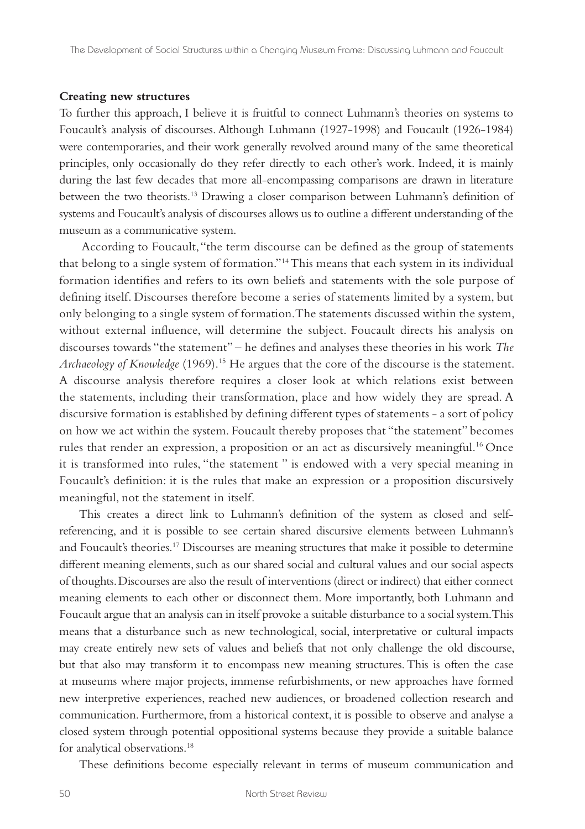## **Creating new structures**

To further this approach, I believe it is fruitful to connect Luhmann's theories on systems to Foucault's analysis of discourses. Although Luhmann (1927-1998) and Foucault (1926-1984) were contemporaries, and their work generally revolved around many of the same theoretical principles, only occasionally do they refer directly to each other's work. Indeed, it is mainly during the last few decades that more all-encompassing comparisons are drawn in literature between the two theorists.13 Drawing a closer comparison between Luhmann's definition of systems and Foucault's analysis of discourses allows us to outline a different understanding of the museum as a communicative system.

 According to Foucault, "the term discourse can be defined as the group of statements that belong to a single system of formation."14 This means that each system in its individual formation identifies and refers to its own beliefs and statements with the sole purpose of defining itself. Discourses therefore become a series of statements limited by a system, but only belonging to a single system of formation. The statements discussed within the system, without external influence, will determine the subject. Foucault directs his analysis on discourses towards "the statement" – he defines and analyses these theories in his work *The Archaeology of Knowledge* (1969).15 He argues that the core of the discourse is the statement. A discourse analysis therefore requires a closer look at which relations exist between the statements, including their transformation, place and how widely they are spread. A discursive formation is established by defining different types of statements - a sort of policy on how we act within the system. Foucault thereby proposes that "the statement" becomes rules that render an expression, a proposition or an act as discursively meaningful.<sup>16</sup> Once it is transformed into rules, "the statement " is endowed with a very special meaning in Foucault's definition: it is the rules that make an expression or a proposition discursively meaningful, not the statement in itself.

This creates a direct link to Luhmann's definition of the system as closed and selfreferencing, and it is possible to see certain shared discursive elements between Luhmann's and Foucault's theories.17 Discourses are meaning structures that make it possible to determine different meaning elements, such as our shared social and cultural values and our social aspects of thoughts. Discourses are also the result of interventions (direct or indirect) that either connect meaning elements to each other or disconnect them. More importantly, both Luhmann and Foucault argue that an analysis can in itself provoke a suitable disturbance to a social system. This means that a disturbance such as new technological, social, interpretative or cultural impacts may create entirely new sets of values and beliefs that not only challenge the old discourse, but that also may transform it to encompass new meaning structures. This is often the case at museums where major projects, immense refurbishments, or new approaches have formed new interpretive experiences, reached new audiences, or broadened collection research and communication. Furthermore, from a historical context, it is possible to observe and analyse a closed system through potential oppositional systems because they provide a suitable balance for analytical observations.<sup>18</sup>

These definitions become especially relevant in terms of museum communication and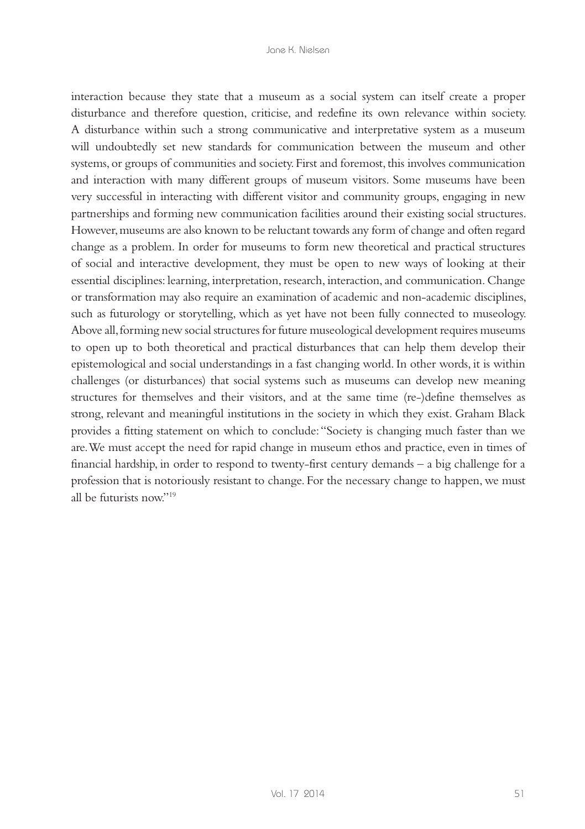interaction because they state that a museum as a social system can itself create a proper disturbance and therefore question, criticise, and redefine its own relevance within society. A disturbance within such a strong communicative and interpretative system as a museum will undoubtedly set new standards for communication between the museum and other systems, or groups of communities and society. First and foremost, this involves communication and interaction with many different groups of museum visitors. Some museums have been very successful in interacting with different visitor and community groups, engaging in new partnerships and forming new communication facilities around their existing social structures. However, museums are also known to be reluctant towards any form of change and often regard change as a problem. In order for museums to form new theoretical and practical structures of social and interactive development, they must be open to new ways of looking at their essential disciplines: learning, interpretation, research, interaction, and communication. Change or transformation may also require an examination of academic and non-academic disciplines, such as futurology or storytelling, which as yet have not been fully connected to museology. Above all, forming new social structures for future museological development requires museums to open up to both theoretical and practical disturbances that can help them develop their epistemological and social understandings in a fast changing world. In other words, it is within challenges (or disturbances) that social systems such as museums can develop new meaning structures for themselves and their visitors, and at the same time (re-)define themselves as strong, relevant and meaningful institutions in the society in which they exist. Graham Black provides a fitting statement on which to conclude: "Society is changing much faster than we are. We must accept the need for rapid change in museum ethos and practice, even in times of financial hardship, in order to respond to twenty-first century demands – a big challenge for a profession that is notoriously resistant to change. For the necessary change to happen, we must all be futurists now"<sup>19</sup>